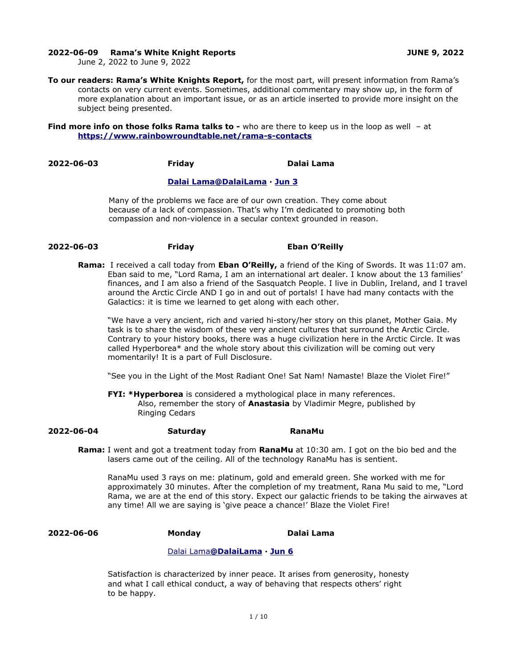#### **2022-06-09 Rama's White Knight Reports JUNE 9, 2022**

June 2, 2022 to June 9, 2022

**To our readers: Rama's White Knights Report,** for the most part, will present information from Rama's contacts on very current events. Sometimes, additional commentary may show up, in the form of more explanation about an important issue, or as an article inserted to provide more insight on the subject being presented.

**Find more info on those folks Rama talks to -** who are there to keep us in the loop as well - at **<https://www.rainbowroundtable.net/rama-s-contacts>**

**2022-06-03 Friday Dalai Lama** 

### **[Dalai](https://twitter.com/DalaiLama) [Lama @DalaiLama](mailto:Lama@DalaiLama) · [Jun 3](https://twitter.com/DalaiLama/status/1532657536574586881)**

Many of the problems we face are of our own creation. They come about because of a lack of compassion. That's why I'm dedicated to promoting both compassion and non-violence in a secular context grounded in reason.

# **2022-06-03 Friday Eban O'Reilly**

**Rama:** I received a call today from **Eban O'Reilly,** a friend of the King of Swords. It was 11:07 am. Eban said to me, "Lord Rama, I am an international art dealer. I know about the 13 families' finances, and I am also a friend of the Sasquatch People. I live in Dublin, Ireland, and I travel around the Arctic Circle AND I go in and out of portals! I have had many contacts with the Galactics: it is time we learned to get along with each other.

"We have a very ancient, rich and varied hi-story/her story on this planet, Mother Gaia. My task is to share the wisdom of these very ancient cultures that surround the Arctic Circle. Contrary to your history books, there was a huge civilization here in the Arctic Circle. It was called Hyperborea\* and the whole story about this civilization will be coming out very momentarily! It is a part of Full Disclosure.

"See you in the Light of the Most Radiant One! Sat Nam! Namaste! Blaze the Violet Fire!"

**FYI: \*Hyperborea** is considered a mythological place in many references. Also, remember the story of **Anastasia** by Vladimir Megre, published by Ringing Cedars

## **2022-06-04 Saturday RanaMu**

**Rama:** I went and got a treatment today from **RanaMu** at 10:30 am. I got on the bio bed and the lasers came out of the ceiling. All of the technology RanaMu has is sentient.

RanaMu used 3 rays on me: platinum, gold and emerald green. She worked with me for approximately 30 minutes. After the completion of my treatment, Rana Mu said to me, "Lord Rama, we are at the end of this story. Expect our galactic friends to be taking the airwaves at any time! All we are saying is 'give peace a chance!' Blaze the Violet Fire!

## **2022-06-06 Monday Dalai Lama**

## [Dalai](https://twitter.com/DalaiLama) [Lama](mailto:Lama@DalaiLama) **[@DalaiLama](mailto:Lama@DalaiLama) · [Jun 6](https://twitter.com/DalaiLama/status/1533744483103571969)**

Satisfaction is characterized by inner peace. It arises from generosity, honesty and what I call ethical conduct, a way of behaving that respects others' right to be happy.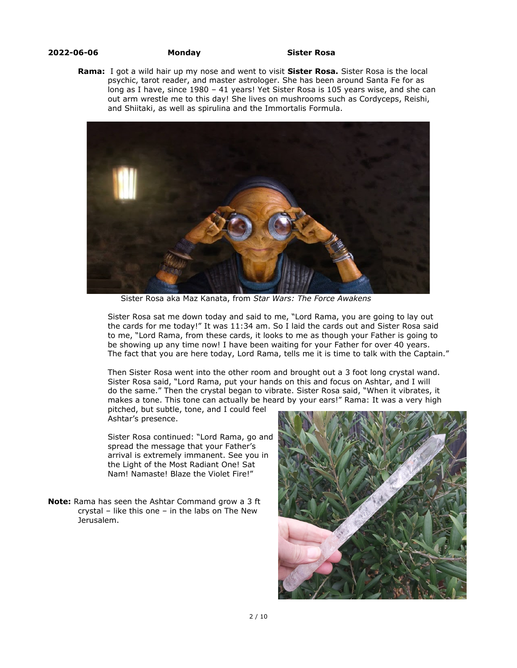#### **2022-06-06 Monday Sister Rosa**

**Rama:** I got a wild hair up my nose and went to visit **Sister Rosa.** Sister Rosa is the local psychic, tarot reader, and master astrologer. She has been around Santa Fe for as long as I have, since 1980 – 41 years! Yet Sister Rosa is 105 years wise, and she can out arm wrestle me to this day! She lives on mushrooms such as Cordyceps, Reishi, and Shiitaki, as well as spirulina and the Immortalis Formula.



Sister Rosa aka Maz Kanata, from *Star Wars: The Force Awakens*

Sister Rosa sat me down today and said to me, "Lord Rama, you are going to lay out the cards for me today!" It was 11:34 am. So I laid the cards out and Sister Rosa said to me, "Lord Rama, from these cards, it looks to me as though your Father is going to be showing up any time now! I have been waiting for your Father for over 40 years. The fact that you are here today, Lord Rama, tells me it is time to talk with the Captain."

Then Sister Rosa went into the other room and brought out a 3 foot long crystal wand. Sister Rosa said, "Lord Rama, put your hands on this and focus on Ashtar, and I will do the same." Then the crystal began to vibrate. Sister Rosa said, "When it vibrates, it makes a tone. This tone can actually be heard by your ears!" Rama: It was a very high

pitched, but subtle, tone, and I could feel Ashtar's presence.

Sister Rosa continued: "Lord Rama, go and spread the message that your Father's arrival is extremely immanent. See you in the Light of the Most Radiant One! Sat Nam! Namaste! Blaze the Violet Fire!"

**Note:** Rama has seen the Ashtar Command grow a 3 ft crystal – like this one – in the labs on The New Jerusalem.

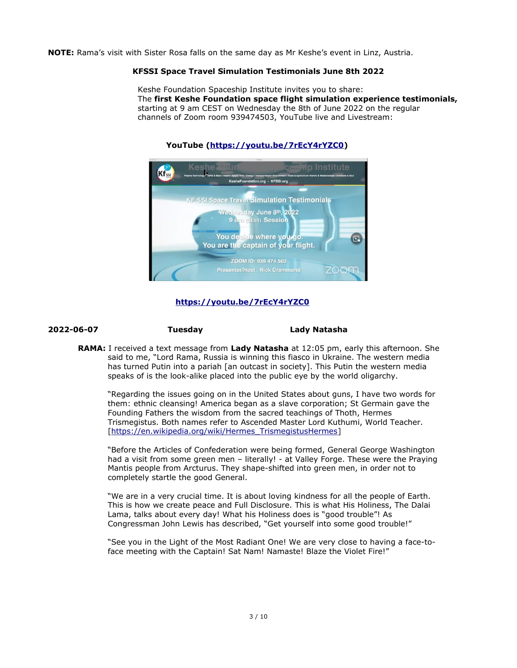**NOTE:** Rama's visit with Sister Rosa falls on the same day as Mr Keshe's event in Linz, Austria.

## **KFSSI Space Travel Simulation Testimonials June 8th 2022**

Keshe Foundation Spaceship Institute invites you to share: The **first Keshe Foundation space flight simulation experience testimonials,**  starting at 9 am CEST on Wednesday the 8th of June 2022 on the regular channels of Zoom room 939474503, YouTube live and Livestream:



## **YouTube (<https://youtu.be/7rEcY4rYZC0>)**

# **<https://youtu.be/7rEcY4rYZC0>**

## **2022-06-07 Tuesday Lady Natasha**

**RAMA:** I received a text message from **Lady Natasha** at 12:05 pm, early this afternoon. She said to me, "Lord Rama, Russia is winning this fiasco in Ukraine. The western media has turned Putin into a pariah [an outcast in society]. This Putin the western media speaks of is the look-alike placed into the public eye by the world oligarchy.

"Regarding the issues going on in the United States about guns, I have two words for them: ethnic cleansing! America began as a slave corporation; St Germain gave the Founding Fathers the wisdom from the sacred teachings of Thoth, Hermes Trismegistus. Both names refer to Ascended Master Lord Kuthumi, World Teacher. [[https://en.wikipedia.org/wiki/Hermes\\_TrismegistusHermes](https://en.wikipedia.org/wiki/Hermes_TrismegistusHermes)]

"Before the Articles of Confederation were being formed, General George Washington had a visit from some green men - literally! - at Valley Forge. These were the Praying Mantis people from Arcturus. They shape-shifted into green men, in order not to completely startle the good General.

"We are in a very crucial time. It is about loving kindness for all the people of Earth. This is how we create peace and Full Disclosure. This is what His Holiness, The Dalai Lama, talks about every day! What his Holiness does is "good trouble"! As Congressman John Lewis has described, "Get yourself into some good trouble!"

"See you in the Light of the Most Radiant One! We are very close to having a face-toface meeting with the Captain! Sat Nam! Namaste! Blaze the Violet Fire!"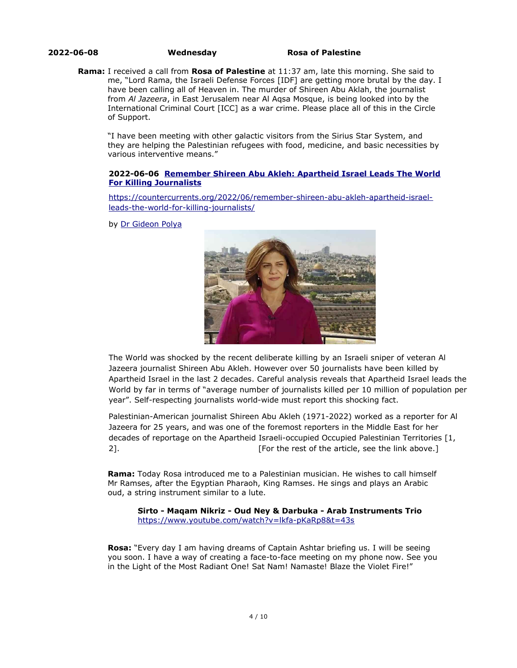**2022-06-08 Wednesday Rosa of Palestine** 

**Rama:** I received a call from **Rosa of Palestine** at 11:37 am, late this morning. She said to me, "Lord Rama, the Israeli Defense Forces [IDF] are getting more brutal by the day. I have been calling all of Heaven in. The murder of Shireen Abu Aklah, the journalist from *Al Jazeera*, in East Jerusalem near Al Aqsa Mosque, is being looked into by the International Criminal Court [ICC] as a war crime. Please place all of this in the Circle of Support.

"I have been meeting with other galactic visitors from the Sirius Star System, and they are helping the Palestinian refugees with food, medicine, and basic necessities by various interventive means."

## **2022-06-06 [Remember Shireen Abu Akleh: Apartheid Israel Leads The World](https://countercurrents.org/2022/06/remember-shireen-abu-akleh-apartheid-israel-leads-the-world-for-killing-journalists/) [For Killing Journalists](https://countercurrents.org/2022/06/remember-shireen-abu-akleh-apartheid-israel-leads-the-world-for-killing-journalists/)**

[https://countercurrents.org/2022/06/remember-shireen-abu-akleh-apartheid-israel](https://countercurrents.org/2022/06/remember-shireen-abu-akleh-apartheid-israel-leads-the-world-for-killing-journalists/)[leads-the-world-for-killing-journalists/](https://countercurrents.org/2022/06/remember-shireen-abu-akleh-apartheid-israel-leads-the-world-for-killing-journalists/)

by [Dr Gideon Polya](https://countercurrents.org/author/dr-gideon-polya/)



The World was shocked by the recent deliberate killing by an Israeli sniper of veteran Al Jazeera journalist Shireen Abu Akleh. However over 50 journalists have been killed by Apartheid Israel in the last 2 decades. Careful analysis reveals that Apartheid Israel leads the World by far in terms of "average number of journalists killed per 10 million of population per year". Self-respecting journalists world-wide must report this shocking fact.

Palestinian-American journalist Shireen Abu Akleh (1971-2022) worked as a reporter for Al Jazeera for 25 years, and was one of the foremost reporters in the Middle East for her decades of reportage on the Apartheid Israeli-occupied Occupied Palestinian Territories [1, 2]. [For the rest of the article, see the link above.]

**Rama:** Today Rosa introduced me to a Palestinian musician. He wishes to call himself Mr Ramses, after the Egyptian Pharaoh, King Ramses. He sings and plays an Arabic oud, a string instrument similar to a lute.

**Sirto - Maqam Nikriz - Oud Ney & Darbuka - Arab Instruments Trio**  <https://www.youtube.com/watch?v=lkfa-pKaRp8&t=43s>

**Rosa:** "Every day I am having dreams of Captain Ashtar briefing us. I will be seeing you soon. I have a way of creating a face-to-face meeting on my phone now. See you in the Light of the Most Radiant One! Sat Nam! Namaste! Blaze the Violet Fire!"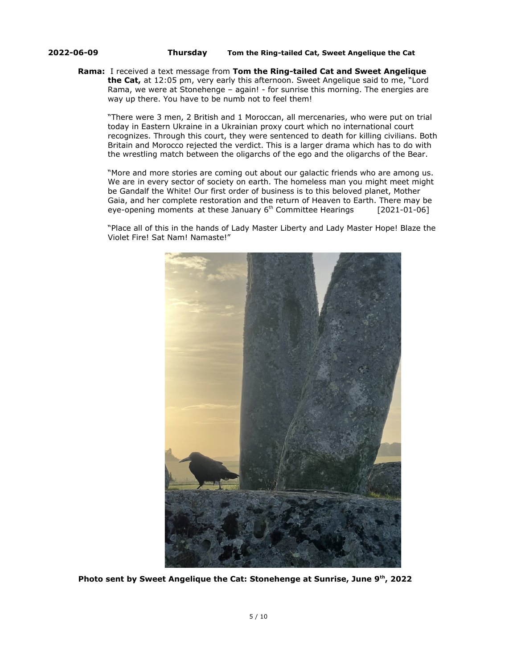### **2022-06-09 Thursday Tom the Ring-tailed Cat, Sweet Angelique the Cat**

## **Rama:** I received a text message from **Tom the Ring-tailed Cat and Sweet Angelique the Cat,** at 12:05 pm, very early this afternoon. Sweet Angelique said to me, "Lord Rama, we were at Stonehenge – again! - for sunrise this morning. The energies are way up there. You have to be numb not to feel them!

"There were 3 men, 2 British and 1 Moroccan, all mercenaries, who were put on trial today in Eastern Ukraine in a Ukrainian proxy court which no international court recognizes. Through this court, they were sentenced to death for killing civilians. Both Britain and Morocco rejected the verdict. This is a larger drama which has to do with the wrestling match between the oligarchs of the ego and the oligarchs of the Bear.

"More and more stories are coming out about our galactic friends who are among us. We are in every sector of society on earth. The homeless man you might meet might be Gandalf the White! Our first order of business is to this beloved planet, Mother Gaia, and her complete restoration and the return of Heaven to Earth. There may be eye-opening moments at these January  $6<sup>th</sup>$  Committee Hearings [2021-01-06]

"Place all of this in the hands of Lady Master Liberty and Lady Master Hope! Blaze the Violet Fire! Sat Nam! Namaste!"



**Photo sent by Sweet Angelique the Cat: Stonehenge at Sunrise, June 9th, 2022**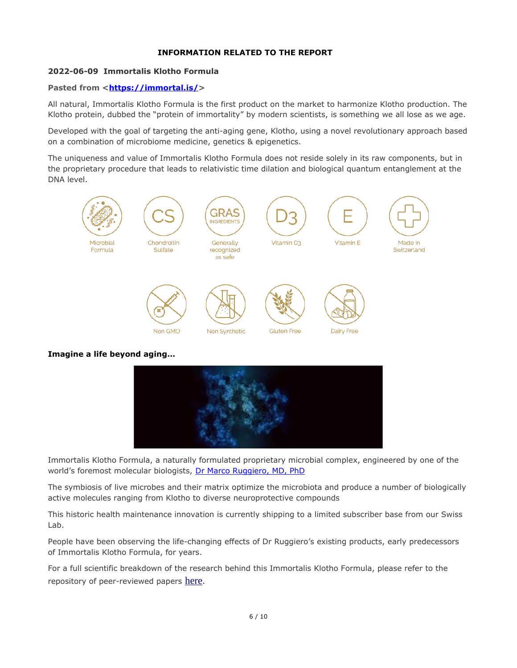# **INFORMATION RELATED TO THE REPORT**

# **2022-06-09 Immortalis Klotho Formula**

# **Pasted from <<https://immortal.is/>>**

All natural, Immortalis Klotho Formula is the first product on the market to harmonize Klotho production. The Klotho protein, dubbed the "protein of immortality" by modern scientists, is something we all lose as we age.

Developed with the goal of targeting the anti-aging gene, Klotho, using a novel revolutionary approach based on a combination of microbiome medicine, genetics & epigenetics.

The uniqueness and value of Immortalis Klotho Formula does not reside solely in its raw components, but in the proprietary procedure that leads to relativistic time dilation and biological quantum entanglement at the DNA level.



**Imagine a life beyond aging…**



Immortalis Klotho Formula, a naturally formulated proprietary microbial complex, engineered by one of the world's foremost molecular biologists, [Dr Marco Ruggiero, MD, PhD](https://immortal.is/)

The symbiosis of live microbes and their matrix optimize the microbiota and produce a number of biologically active molecules ranging from Klotho to diverse neuroprotective compounds

This historic health maintenance innovation is currently shipping to a limited subscriber base from our Swiss Lab.

People have been observing the life-changing effects of Dr Ruggiero's existing products, early predecessors of Immortalis Klotho Formula, for years.

For a full scientific breakdown of the research behind this Immortalis Klotho Formula, please refer to the repository of peer-reviewed papers [here](https://immortal.is/?page_id=1130).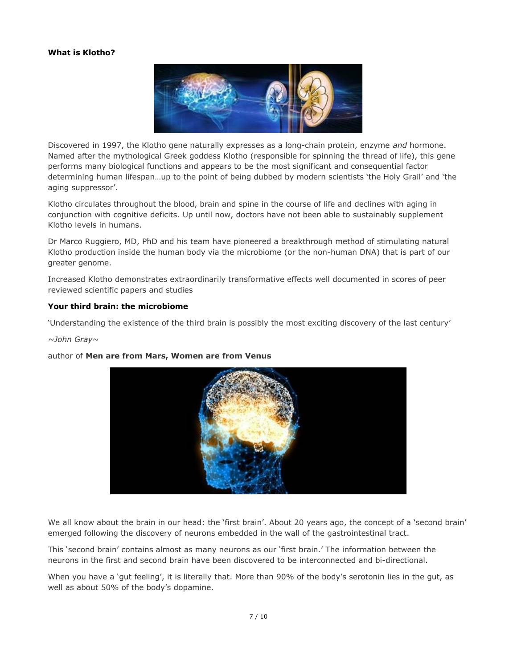# **What is Klotho?**



Discovered in 1997, the Klotho gene naturally expresses as a long-chain protein, enzyme *and* hormone. Named after the mythological Greek goddess Klotho (responsible for spinning the thread of life), this gene performs many biological functions and appears to be the most significant and consequential factor determining human lifespan…up to the point of being dubbed by modern scientists 'the Holy Grail' and 'the aging suppressor'.

Klotho circulates throughout the blood, brain and spine in the course of life and declines with aging in conjunction with cognitive deficits. Up until now, doctors have not been able to sustainably supplement Klotho levels in humans.

Dr Marco Ruggiero, MD, PhD and his team have pioneered a breakthrough method of stimulating natural Klotho production inside the human body via the microbiome (or the non-human DNA) that is part of our greater genome.

Increased Klotho demonstrates extraordinarily transformative effects well documented in scores of peer reviewed scientific papers and studies

## **Your third brain: the microbiome**

'Understanding the existence of the third brain is possibly the most exciting discovery of the last century'

### *~John Gray~*

### author of **Men are from Mars, Women are from Venus**



We all know about the brain in our head: the 'first brain'. About 20 years ago, the concept of a 'second brain' emerged following the discovery of neurons embedded in the wall of the gastrointestinal tract.

This 'second brain' contains almost as many neurons as our 'first brain.' The information between the neurons in the first and second brain have been discovered to be interconnected and bi-directional.

When you have a 'qut feeling', it is literally that. More than 90% of the body's serotonin lies in the qut, as well as about 50% of the body's dopamine.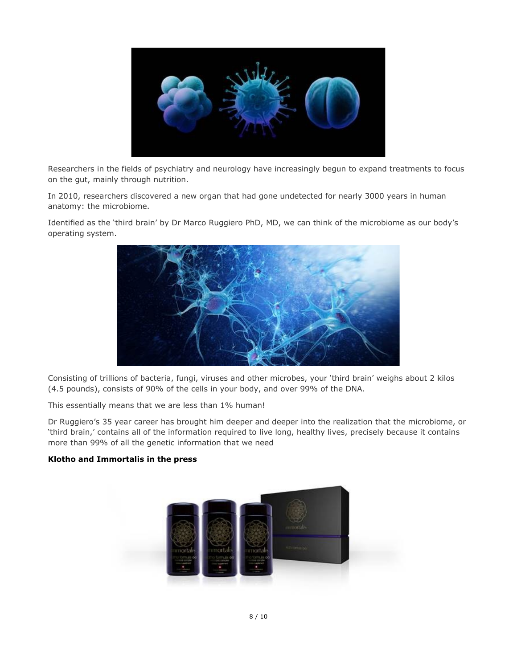

Researchers in the fields of psychiatry and neurology have increasingly begun to expand treatments to focus on the gut, mainly through nutrition.

In 2010, researchers discovered a new organ that had gone undetected for nearly 3000 years in human anatomy: the microbiome.

Identified as the 'third brain' by Dr Marco Ruggiero PhD, MD, we can think of the microbiome as our body's operating system.



Consisting of trillions of bacteria, fungi, viruses and other microbes, your 'third brain' weighs about 2 kilos (4.5 pounds), consists of 90% of the cells in your body, and over 99% of the DNA.

This essentially means that we are less than 1% human!

Dr Ruggiero's 35 year career has brought him deeper and deeper into the realization that the microbiome, or 'third brain,' contains all of the information required to live long, healthy lives, precisely because it contains more than 99% of all the genetic information that we need

## **Klotho and Immortalis in the press**

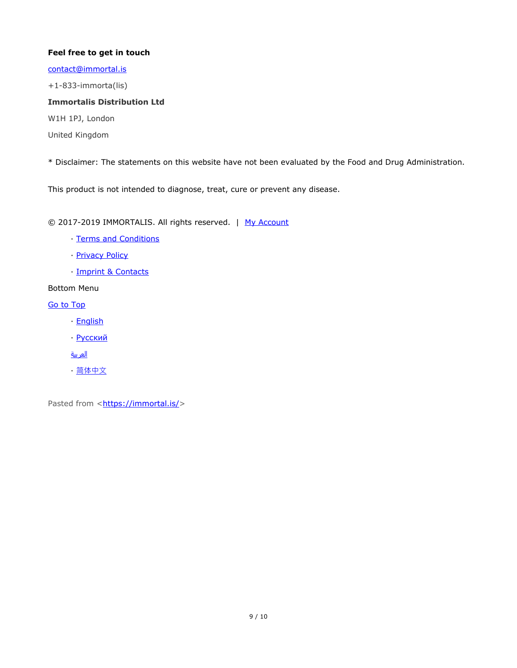# **Feel free to get in touch**

[contact@immortal.is](mailto:contact@immortal.is)

+1-833-immorta(lis)

# **Immortalis Distribution Ltd**

W1H 1PJ, London

United Kingdom

\* Disclaimer: The statements on this website have not been evaluated by the Food and Drug Administration.

This product is not intended to diagnose, treat, cure or prevent any disease.

© 2017-2019 IMMORTALIS. All rights reserved. | [My Account](https://immortal.is/my-account/)

- · [Terms and Conditions](https://immortal.is/terms-and-conditions/)
- **[Privacy Policy](https://immortal.is/privacy-policy/)**
- · [Imprint & Contacts](https://immortal.is/imprint/)

Bottom Menu

[Go to Top](https://immortal.is/)

- · [English](https://immortal.is/)
- · [Русский](https://immortal.is/ru/)
- [العربية](https://immortal.is/ar/)
- · [简体中文](https://immortal.is/zh-hans/)

Pasted from <<https://immortal.is/>>